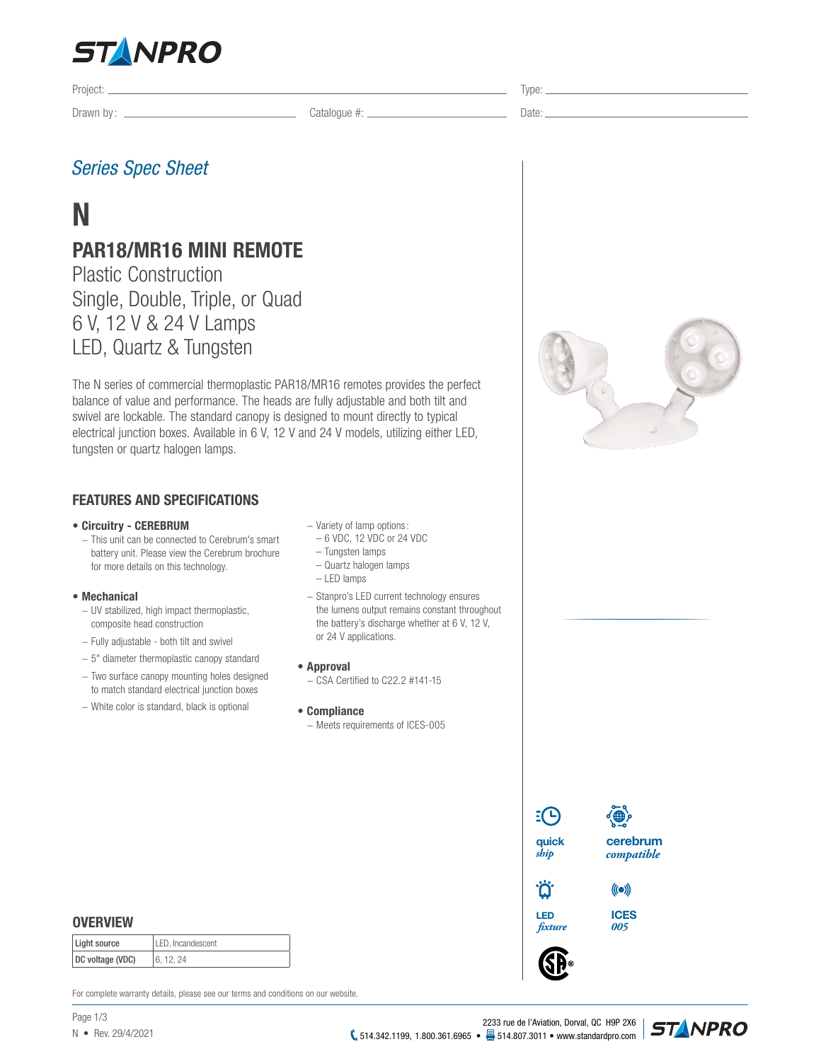

Drawn by: Catalogue #: Date:

Project: Type:

# *Series Spec Sheet*

# **N**

# **PAR18/MR16 MINI REMOTE**

Plastic Construction Single, Double, Triple, or Quad 6 V, 12 V & 24 V Lamps LED, Quartz & Tungsten

The N series of commercial thermoplastic PAR18/MR16 remotes provides the perfect balance of value and performance. The heads are fully adjustable and both tilt and swivel are lockable. The standard canopy is designed to mount directly to typical electrical junction boxes. Available in 6 V, 12 V and 24 V models, utilizing either LED, tungsten or quartz halogen lamps.

# **FEATURES AND SPECIFICATIONS**

#### **• Circuitry - CEREBRUM**

− This unit can be connected to Cerebrum's smart battery unit. Please view the Cerebrum brochure for more details on this technology.

#### **• Mechanical**

- − UV stabilized, high impact thermoplastic, composite head construction
- − Fully adjustable both tilt and swivel
- − 5" diameter thermoplastic canopy standard
- − Two surface canopy mounting holes designed to match standard electrical junction boxes
- − White color is standard, black is optional
- − Variety of lamp options:
- 6 VDC, 12 VDC or 24 VDC
- Tungsten lamps
- Quartz halogen lamps
- LED lamps
- − Stanpro's LED current technology ensures the lumens output remains constant throughout the battery's discharge whether at 6 V, 12 V, or 24 V applications.
- **• Approval**
- − CSA Certified to C22.2 #141-15
- **• Compliance** − Meets requirements of ICES-005



**cerebrum** *compatible*

**LED** *xture*

**ICES** *005*

 $(\text{(•)}$ 



| Light source     | LED, Incandescent |
|------------------|-------------------|
| DC voltage (VDC) | 6.12.24           |

For complete warranty details, please see our terms and conditions on our website.

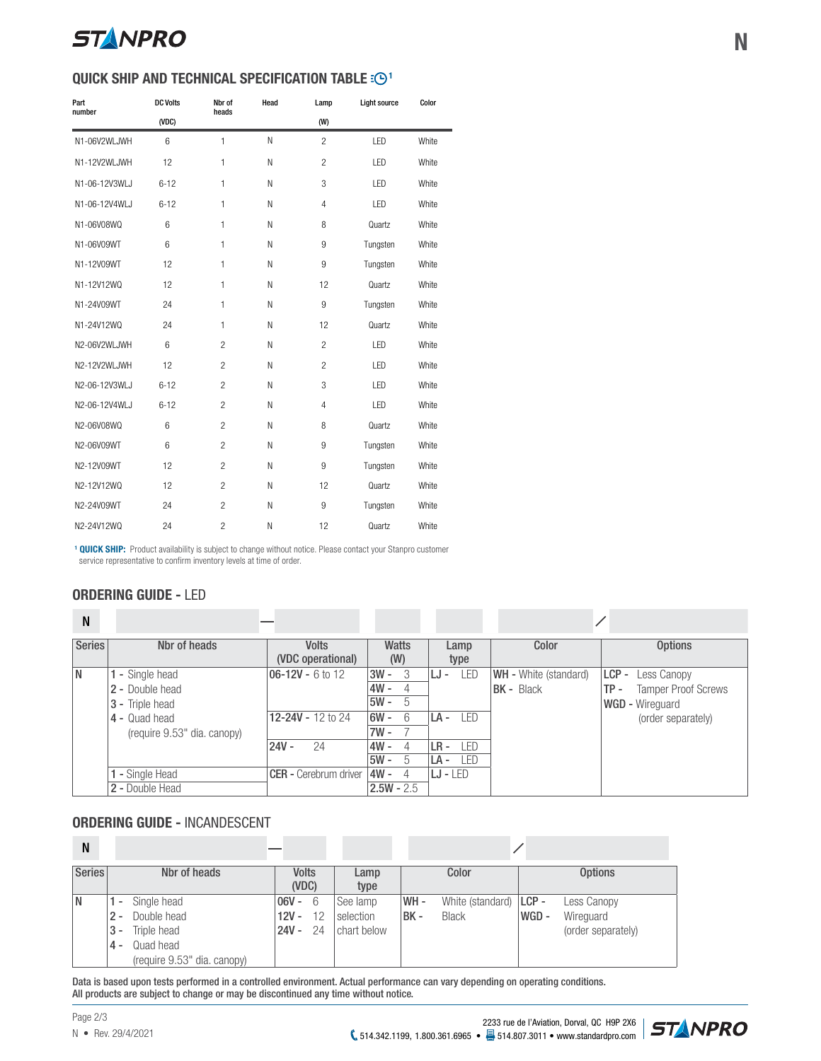

# **QUICK SHIP AND TECHNICAL SPECIFICATION TABLE :**  $\odot$ **<sup>1</sup>**

| Part          | <b>DC Volts</b> | Nbr of         | Head | Lamp           | Light source | Color |
|---------------|-----------------|----------------|------|----------------|--------------|-------|
| number        | (VDC)           | heads          |      | (W)            |              |       |
| N1-06V2WLJWH  | 6               | $\mathbf{1}$   | N    | $\overline{2}$ | LED          | White |
| N1-12V2WLJWH  | 12              | 1              | N    | $\overline{2}$ | LED          | White |
| N1-06-12V3WLJ | $6 - 12$        | $\mathbf{1}$   | N    | 3              | LED          | White |
| N1-06-12V4WLJ | $6 - 12$        | $\mathbf{1}$   | N    | $\overline{4}$ | I FD         | White |
| N1-06V08WQ    | 6               | $\mathbf{1}$   | N    | 8              | Quartz       | White |
| N1-06V09WT    | 6               | $\mathbf{1}$   | N    | 9              | Tungsten     | White |
| N1-12V09WT    | 12              | $\mathbf{1}$   | N    | 9              | Tungsten     | White |
| N1-12V12WQ    | 12              | $\mathbf{1}$   | N    | 12             | Quartz       | White |
| N1-24V09WT    | 24              | $\mathbf{1}$   | N    | 9              | Tungsten     | White |
| N1-24V12WQ    | 24              | $\mathbf{1}$   | N    | 12             | Quartz       | White |
| N2-06V2WLJWH  | $6\overline{6}$ | $\mathfrak{p}$ | N    | $\mathfrak{p}$ | LED          | White |
| N2-12V2WLJWH  | 12              | $\overline{c}$ | N    | $\overline{2}$ | LED          | White |
| N2-06-12V3WLJ | $6 - 12$        | $\overline{c}$ | N    | 3              | LED          | White |
| N2-06-12V4WLJ | $6 - 12$        | $\mathfrak{p}$ | N    | $\overline{4}$ | LED          | White |
| N2-06V08WQ    | 6               | $\overline{c}$ | N    | 8              | Quartz       | White |
| N2-06V09WT    | 6               | $\overline{c}$ | N    | 9              | Tungsten     | White |
| N2-12V09WT    | 12              | $\mathfrak{p}$ | N    | 9              | Tungsten     | White |
| N2-12V12WQ    | 12              | $\mathfrak{p}$ | N    | 12             | Quartz       | White |
| N2-24V09WT    | 24              | $\overline{c}$ | N    | 9              | Tungsten     | White |
| N2-24V12WQ    | 24              | $\overline{c}$ | N    | 12             | Quartz       | White |

**1 QUICK SHIP:** Product availability is subject to change without notice. Please contact your Stanpro customer service representative to confirm inventory levels at time of order.

# **ORDERING GUIDE -** LED

| N             |                             |                                   |              |                    |                              |                                   |
|---------------|-----------------------------|-----------------------------------|--------------|--------------------|------------------------------|-----------------------------------|
| <b>Series</b> | Nbr of heads                | <b>Volts</b><br>(VDC operational) | Watts<br>(W) | Lamp<br>type       | Color                        | <b>Options</b>                    |
| <b>N</b>      | - Single head               | $06 - 12V - 6$ to 12              | $3W -$<br>3  | LED<br>LJ -        | <b>WH</b> - White (standard) | LCP -<br>Less Canopy              |
|               | 2 - Double head             |                                   | 4W -<br>4    |                    | <b>BK - Black</b>            | <b>Tamper Proof Screws</b><br>TP- |
|               | 3 - Triple head             |                                   | $5W -$<br>5  |                    |                              | <b>WGD - Wirequard</b>            |
|               | 4 - Quad head               | 12-24V - 12 to 24                 | $6W -$<br>6  | LED<br>LA -        |                              | (order separately)                |
|               | (require 9.53" dia. canopy) |                                   | $7W -$       |                    |                              |                                   |
|               |                             | $24V -$<br>24                     | $4W -$<br>4  | <b>LED</b><br>LR - |                              |                                   |
|               |                             |                                   | 5W -<br>5    | LED<br>LA -        |                              |                                   |
|               | - Single Head               | CER - Cerebrum driver             | 4W -<br>4    | $LJ - LED$         |                              |                                   |
|               | 2 - Double Head             |                                   | $2.5W - 2.5$ |                    |                              |                                   |

# **ORDERING GUIDE -** INCANDESCENT

| N             |                                                                                                                                          |                                |          |                                       |              |                                           |       |                                                |
|---------------|------------------------------------------------------------------------------------------------------------------------------------------|--------------------------------|----------|---------------------------------------|--------------|-------------------------------------------|-------|------------------------------------------------|
| <b>Series</b> | Nbr of heads                                                                                                                             | <b>Volts</b><br>(VDC)          |          | Lamp<br>type                          |              | Color                                     |       | <b>Options</b>                                 |
| N             | Single head<br>$\overline{\phantom{a}}$<br>Double head<br>$2 -$<br>Triple head<br>3 -<br>Quad head<br>4 -<br>(require 9.53" dia. canopy) | $106V - 6$<br>$12V -$<br>24V - | 12<br>24 | ∣See lamp<br>selection<br>chart below | WH-<br>IBK - | White (standard) $ LCP -$<br><b>Black</b> | WGD - | Less Canopy<br>Wireguard<br>(order separately) |

Data is based upon tests performed in a controlled environment. Actual performance can vary depending on operating conditions. All products are subject to change or may be discontinued any time without notice.